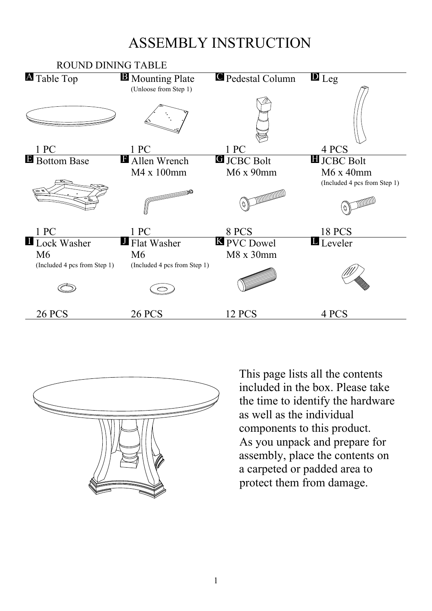## ASSEMBLY INSTRUCTION





This page lists all the contents included in the box. Please take the time to identify the hardware as well as the individual components to this product. As you unpack and prepare for assembly, place the contents on a carpeted or padded area to protect them from damage.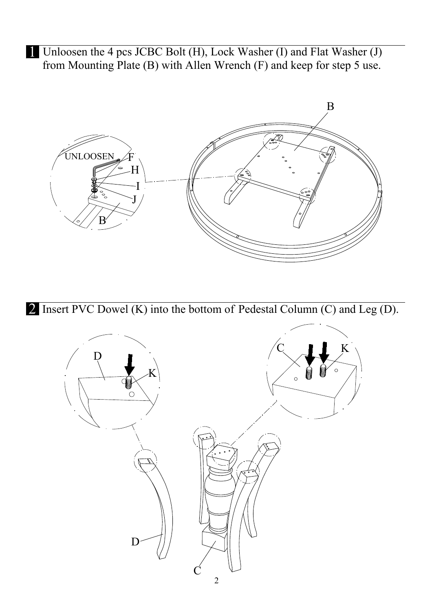1 Unloosen the 4 pcs JCBC Bolt (H), Lock Washer (I) and Flat Washer (J) from Mounting Plate (B) with Allen Wrench (F) and keep for step 5 use.



2 Insert PVC Dowel (K) into the bottom of Pedestal Column (C) and Leg (D).

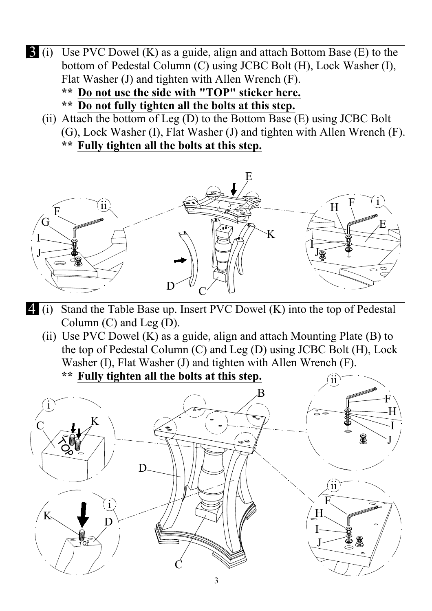- 3 (i) Use PVC Dowel (K) as a guide, align and attach Bottom Base (E) to the bottom of Pedestal Column (C) using JCBC Bolt (H), Lock Washer (I), Flat Washer (J) and tighten with Allen Wrench (F).
	- **\*\* Do not use the side with "TOP" sticker here.**
	- **\*\* Do not fully tighten all the bolts at this step.**
	- (ii) Attach the bottom of Leg  $(D)$  to the Bottom Base  $(E)$  using JCBC Bolt (G), Lock Washer (I), Flat Washer (J) and tighten with Allen Wrench (F). **\*\* Fully tighten all the bolts at this step.**



- 4 (i) Stand the Table Base up. Insert PVC Dowel (K) into the top of Pedestal Column (C) and Leg (D).
	- (ii) Use PVC Dowel (K) as a guide, align and attach Mounting Plate (B) to the top of Pedestal Column (C) and Leg (D) using JCBC Bolt (H), Lock Washer (I), Flat Washer (J) and tighten with Allen Wrench (F).